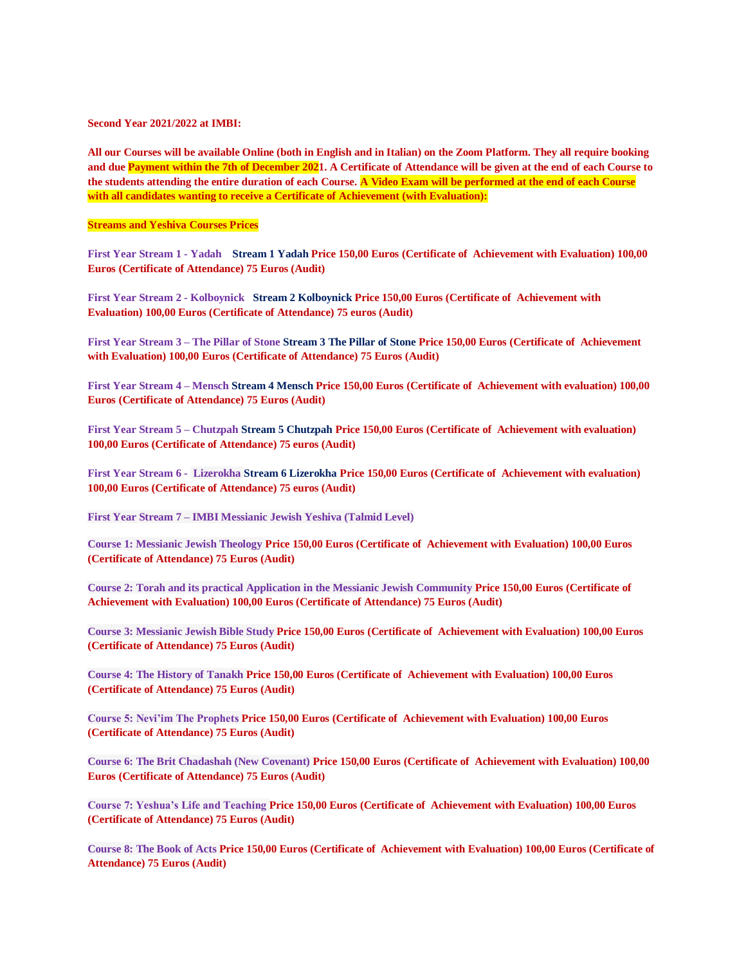## **Second Year 2021/2022 at IMBI:**

**All our Courses will be available Online (both in English and in Italian) on the Zoom Platform. They all require booking and due Payment within the 7th of December 2021. A Certificate of Attendance will be given at the end of each Course to the students attending the entire duration of each Course. A Video Exam will be performed at the end of each Course with all candidates wanting to receive a Certificate of Achievement (with Evaluation):**

## **Streams and Yeshiva Courses Prices**

**First Year Stream 1 - Yadah Stream 1 Yadah Price 150,00 Euros (Certificate of Achievement with Evaluation) 100,00 Euros (Certificate of Attendance) 75 Euros (Audit)** 

**First Year Stream 2 - Kolboynick Stream 2 Kolboynick Price 150,00 Euros (Certificate of Achievement with Evaluation) 100,00 Euros (Certificate of Attendance) 75 euros (Audit)**

**First Year Stream 3 – The Pillar of Stone Stream 3 The Pillar of Stone Price 150,00 Euros (Certificate of Achievement with Evaluation) 100,00 Euros (Certificate of Attendance) 75 Euros (Audit)**

**First Year Stream 4 – Mensch Stream 4 Mensch Price 150,00 Euros (Certificate of Achievement with evaluation) 100,00 Euros (Certificate of Attendance) 75 Euros (Audit)**

**First Year Stream 5 – Chutzpah Stream 5 Chutzpah Price 150,00 Euros (Certificate of Achievement with evaluation) 100,00 Euros (Certificate of Attendance) 75 euros (Audit)**

**First Year Stream 6 - Lizerokha Stream 6 Lizerokha Price 150,00 Euros (Certificate of Achievement with evaluation) 100,00 Euros (Certificate of Attendance) 75 euros (Audit)**

**First Year Stream 7 – IMBI Messianic Jewish Yeshiva (Talmid Level)**

**Course 1: Messianic Jewish Theology Price 150,00 Euros (Certificate of Achievement with Evaluation) 100,00 Euros (Certificate of Attendance) 75 Euros (Audit)**

**Course 2: Torah and its practical Application in the Messianic Jewish Community Price 150,00 Euros (Certificate of Achievement with Evaluation) 100,00 Euros (Certificate of Attendance) 75 Euros (Audit)**

**Course 3: Messianic Jewish Bible Study Price 150,00 Euros (Certificate of Achievement with Evaluation) 100,00 Euros (Certificate of Attendance) 75 Euros (Audit)**

**Course 4: The History of Tanakh Price 150,00 Euros (Certificate of Achievement with Evaluation) 100,00 Euros (Certificate of Attendance) 75 Euros (Audit)**

**Course 5: Nevi'im The Prophets Price 150,00 Euros (Certificate of Achievement with Evaluation) 100,00 Euros (Certificate of Attendance) 75 Euros (Audit)**

**Course 6: The Brit Chadashah (New Covenant) Price 150,00 Euros (Certificate of Achievement with Evaluation) 100,00 Euros (Certificate of Attendance) 75 Euros (Audit)**

**Course 7: Yeshua's Life and Teaching Price 150,00 Euros (Certificate of Achievement with Evaluation) 100,00 Euros (Certificate of Attendance) 75 Euros (Audit)**

**Course 8: The Book of Acts Price 150,00 Euros (Certificate of Achievement with Evaluation) 100,00 Euros (Certificate of Attendance) 75 Euros (Audit)**